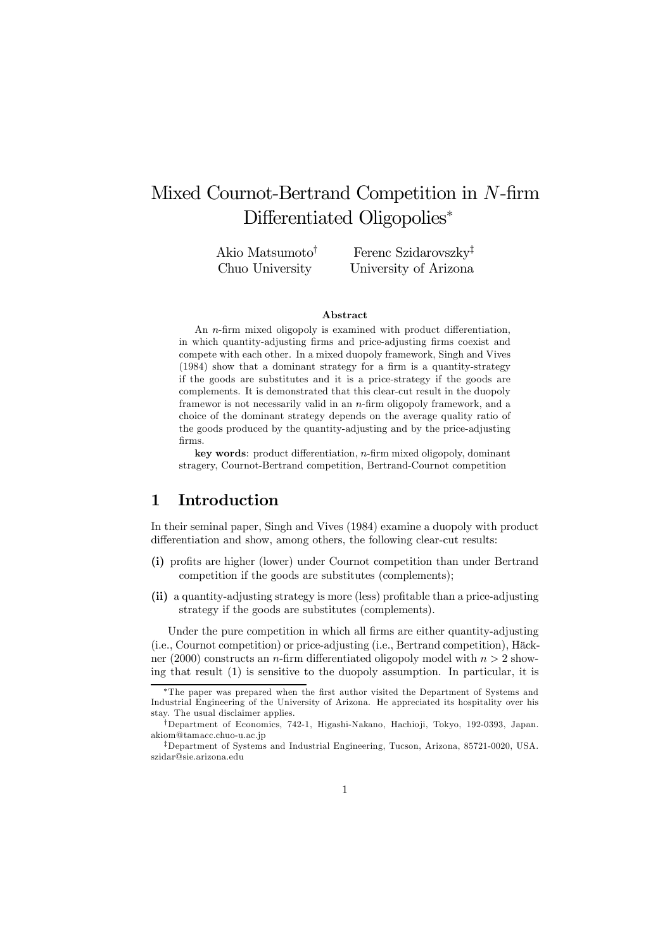# Mixed Cournot-Bertrand Competition in N-firm Differentiated Oligopolies<sup>∗</sup>

Akio Matsumoto† Chuo University

Ferenc Szidarovszky‡ University of Arizona

#### Abstract

An n-firm mixed oligopoly is examined with product differentiation, in which quantity-adjusting firms and price-adjusting firms coexist and compete with each other. In a mixed duopoly framework, Singh and Vives (1984) show that a dominant strategy for a firm is a quantity-strategy if the goods are substitutes and it is a price-strategy if the goods are complements. It is demonstrated that this clear-cut result in the duopoly framewor is not necessarily valid in an  $n$ -firm oligopoly framework, and a choice of the dominant strategy depends on the average quality ratio of the goods produced by the quantity-adjusting and by the price-adjusting firms.

key words: product differentiation, n-firm mixed oligopoly, dominant stragery, Cournot-Bertrand competition, Bertrand-Cournot competition

### 1 Introduction

In their seminal paper, Singh and Vives (1984) examine a duopoly with product differentiation and show, among others, the following clear-cut results:

- (i) profits are higher (lower) under Cournot competition than under Bertrand competition if the goods are substitutes (complements);
- (ii) a quantity-adjusting strategy is more (less) profitable than a price-adjusting strategy if the goods are substitutes (complements).

Under the pure competition in which all firms are either quantity-adjusting (i.e., Cournot competition) or price-adjusting (i.e., Bertrand competition), Häckner (2000) constructs an *n*-firm differentiated oligopoly model with  $n > 2$  showing that result (1) is sensitive to the duopoly assumption. In particular, it is

The paper was prepared when the first author visited the Department of Systems and Industrial Engineering of the University of Arizona. He appreciated its hospitality over his stay. The usual disclaimer applies.

<sup>†</sup>Department of Economics, 742-1, Higashi-Nakano, Hachio ji, Tokyo, 192-0393, Japan. akiom@tamacc.chuo-u.ac.jp

<sup>‡</sup>Department of Systems and Industrial Engineering, Tucson, Arizona, 85721-0020, USA. szidar@sie.arizona.edu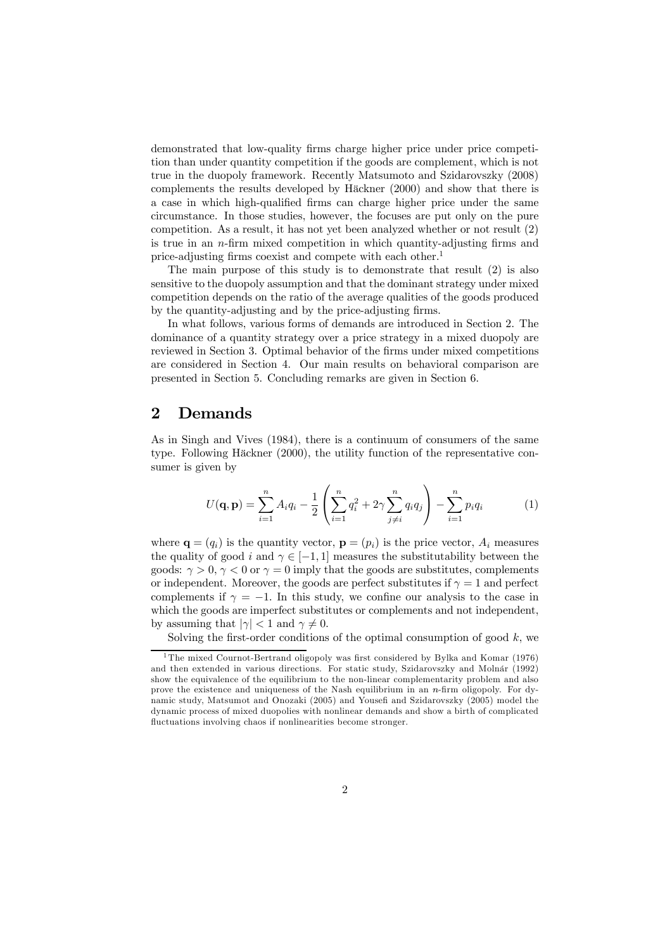demonstrated that low-quality firms charge higher price under price competition than under quantity competition if the goods are complement, which is not true in the duopoly framework. Recently Matsumoto and Szidarovszky (2008) complements the results developed by Häckner (2000) and show that there is a case in which high-qualified firms can charge higher price under the same circumstance. In those studies, however, the focuses are put only on the pure competition. As a result, it has not yet been analyzed whether or not result (2) is true in an n-firm mixed competition in which quantity-adjusting firms and price-adjusting firms coexist and compete with each other.<sup>1</sup>

The main purpose of this study is to demonstrate that result (2) is also sensitive to the duopoly assumption and that the dominant strategy under mixed competition depends on the ratio of the average qualities of the goods produced by the quantity-adjusting and by the price-adjusting firms.

In what follows, various forms of demands are introduced in Section 2. The dominance of a quantity strategy over a price strategy in a mixed duopoly are reviewed in Section 3. Optimal behavior of the firms under mixed competitions are considered in Section 4. Our main results on behavioral comparison are presented in Section 5. Concluding remarks are given in Section 6.

# 2 Demands

As in Singh and Vives (1984), there is a continuum of consumers of the same type. Following Häckner (2000), the utility function of the representative consumer is given by

$$
U(\mathbf{q}, \mathbf{p}) = \sum_{i=1}^{n} A_i q_i - \frac{1}{2} \left( \sum_{i=1}^{n} q_i^2 + 2\gamma \sum_{j \neq i}^{n} q_i q_j \right) - \sum_{i=1}^{n} p_i q_i \tag{1}
$$

where  $\mathbf{q} = (q_i)$  is the quantity vector,  $\mathbf{p} = (p_i)$  is the price vector,  $A_i$  measures the quality of good i and  $\gamma \in [-1, 1]$  measures the substitutability between the goods:  $\gamma > 0$ ,  $\gamma < 0$  or  $\gamma = 0$  imply that the goods are substitutes, complements or independent. Moreover, the goods are perfect substitutes if  $\gamma = 1$  and perfect complements if  $\gamma = -1$ . In this study, we confine our analysis to the case in which the goods are imperfect substitutes or complements and not independent, by assuming that  $|\gamma| < 1$  and  $\gamma \neq 0$ .

Solving the first-order conditions of the optimal consumption of good  $k$ , we

<sup>&</sup>lt;sup>1</sup>The mixed Cournot-Bertrand oligopoly was first considered by Bylka and Komar (1976) and then extended in various directions. For static study, Szidarovszky and Molnár (1992) show the equivalence of the equilibrium to the non-linear complementarity problem and also prove the existence and uniqueness of the Nash equilibrium in an  $n$ -firm oligopoly. For dynamic study, Matsumot and Onozaki (2005) and Yousefi and Szidarovszky (2005) model the dynamic process of mixed duopolies with nonlinear demands and show a birth of complicated fluctuations involving chaos if nonlinearities become stronger.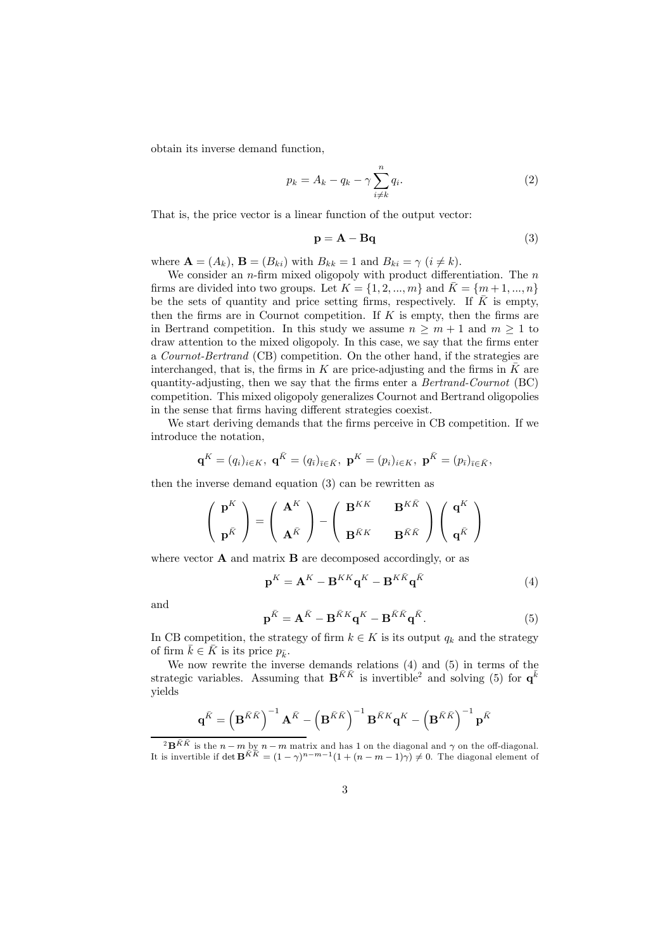obtain its inverse demand function,

$$
p_k = A_k - q_k - \gamma \sum_{i \neq k}^{n} q_i.
$$
 (2)

That is, the price vector is a linear function of the output vector:

$$
\mathbf{p} = \mathbf{A} - \mathbf{B}\mathbf{q} \tag{3}
$$

where  $\mathbf{A} = (A_k)$ ,  $\mathbf{B} = (B_{ki})$  with  $B_{kk} = 1$  and  $B_{ki} = \gamma$  ( $i \neq k$ ).

We consider an *n*-firm mixed oligopoly with product differentiation. The *n* firms are divided into two groups. Let  $K = \{1, 2, ..., m\}$  and  $K = \{m+1, ..., n\}$ be the sets of quantity and price setting firms, respectively. If  $\overline{K}$  is empty, then the firms are in Cournot competition. If  $K$  is empty, then the firms are in Bertrand competition. In this study we assume  $n \geq m+1$  and  $m \geq 1$  to draw attention to the mixed oligopoly. In this case, we say that the firms enter a Cournot-Bertrand (CB) competition. On the other hand, if the strategies are interchanged, that is, the firms in  $K$  are price-adjusting and the firms in  $K$  are quantity-adjusting, then we say that the firms enter a Bertrand-Cournot (BC) competition. This mixed oligopoly generalizes Cournot and Bertrand oligopolies in the sense that firms having different strategies coexist.

We start deriving demands that the firms perceive in CB competition. If we introduce the notation,

$$
\mathbf{q}^K = (q_i)_{i \in K}, \; \mathbf{q}^{\bar{K}} = (q_{\bar{\imath}})_{\bar{\imath} \in \bar{K}}, \; \mathbf{p}^K = (p_i)_{i \in K}, \; \mathbf{p}^{\bar{K}} = (p_{\bar{\imath}})_{\bar{\imath} \in \bar{K}},
$$

then the inverse demand equation (3) can be rewritten as

$$
\left(\begin{array}{c} \mathbf{p}^K \\ \\ \mathbf{p}^{\bar{K}} \end{array}\right) = \left(\begin{array}{c} \mathbf{A}^K \\ \\ \mathbf{A}^{\bar{K}} \end{array}\right) - \left(\begin{array}{cc} \mathbf{B}^{KK} & \mathbf{B}^{K\bar{K}} \\ \\ \mathbf{B}^{\bar{K}K} & \mathbf{B}^{\bar{K}\bar{K}} \end{array}\right) \left(\begin{array}{c} \mathbf{q}^K \\ \\ \mathbf{q}^{\bar{K}} \end{array}\right)
$$

where vector  $\bf{A}$  and matrix  $\bf{B}$  are decomposed accordingly, or as

$$
\mathbf{p}^{K} = \mathbf{A}^{K} - \mathbf{B}^{KK}\mathbf{q}^{K} - \mathbf{B}^{K\bar{K}}\mathbf{q}^{\bar{K}}
$$
 (4)

and

$$
\mathbf{p}^{\bar{K}} = \mathbf{A}^{\bar{K}} - \mathbf{B}^{\bar{K}K}\mathbf{q}^K - \mathbf{B}^{\bar{K}\bar{K}}\mathbf{q}^{\bar{K}}.
$$
 (5)

In CB competition, the strategy of firm  $k \in K$  is its output  $q_k$  and the strategy of firm  $\bar{k} \in \bar{K}$  is its price  $p_{\bar{k}}$ .

We now rewrite the inverse demands relations (4) and (5) in terms of the strategic variables. Assuming that  $\mathbf{B}^{\bar{K}\bar{K}}$  is invertible<sup>2</sup> and solving (5) for  $\mathbf{q}^{\bar{k}}$ yields

$$
\mathbf{q}^{\tilde{K}}=\left(\mathbf{B}^{\tilde{K}\tilde{K}}\right)^{-1}\mathbf{A}^{\tilde{K}}-\left(\mathbf{B}^{\tilde{K}\tilde{K}}\right)^{-1}\mathbf{B}^{\tilde{K}K}\mathbf{q}^{K}-\left(\mathbf{B}^{\tilde{K}\tilde{K}}\right)^{-1}\mathbf{p}^{\tilde{K}}
$$

 $2B^{R\bar{K}}$  is the  $n - m$  by  $n - m$  matrix and has 1 on the diagonal and  $\gamma$  on the off-diagonal. It is invertible if det  $\mathbf{B}^{\bar{K}\bar{K}} = (1 - \gamma)^{n-m-1}(1 + (n - m - 1)\gamma) \neq 0$ . The diagonal element of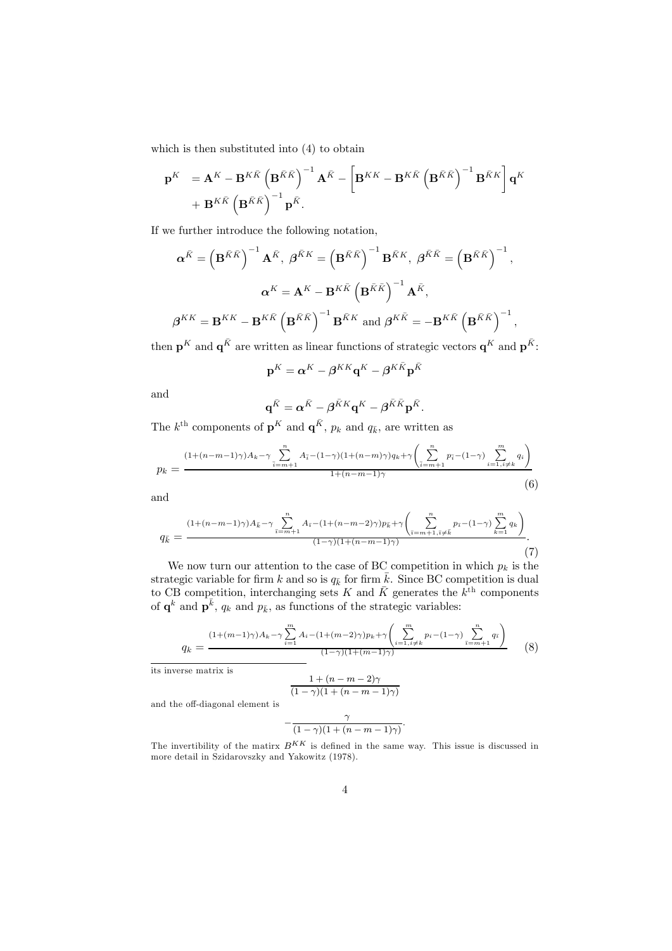which is then substituted into (4) to obtain

$$
\begin{split} \mathbf{p}^K &= \mathbf{A}^K - \mathbf{B}^{K\bar{K}} \left( \mathbf{B}^{\bar{K}\bar{K}} \right)^{-1} \mathbf{A}^{\bar{K}} - \left[ \mathbf{B}^{KK} - \mathbf{B}^{K\bar{K}} \left( \mathbf{B}^{\bar{K}\bar{K}} \right)^{-1} \mathbf{B}^{\bar{K}K} \right] \mathbf{q}^K \\ &+ \mathbf{B}^{K\bar{K}} \left( \mathbf{B}^{\bar{K}\bar{K}} \right)^{-1} \mathbf{p}^{\bar{K}}. \end{split}
$$

If we further introduce the following notation,

$$
\alpha^{\bar{K}} = \left(\mathbf{B}^{\bar{K}\bar{K}}\right)^{-1} \mathbf{A}^{\bar{K}}, \ \beta^{\bar{K}K} = \left(\mathbf{B}^{\bar{K}\bar{K}}\right)^{-1} \mathbf{B}^{\bar{K}K}, \ \beta^{\bar{K}\bar{K}} = \left(\mathbf{B}^{\bar{K}\bar{K}}\right)^{-1},
$$

$$
\alpha^K = \mathbf{A}^K - \mathbf{B}^{K\bar{K}} \left(\mathbf{B}^{\bar{K}\bar{K}}\right)^{-1} \mathbf{A}^{\bar{K}},
$$

$$
\beta^{KK} = \mathbf{B}^{KK} - \mathbf{B}^{K\bar{K}} \left(\mathbf{B}^{\bar{K}\bar{K}}\right)^{-1} \mathbf{B}^{\bar{K}K} \text{ and } \beta^{K\bar{K}} = -\mathbf{B}^{K\bar{K}} \left(\mathbf{B}^{\bar{K}\bar{K}}\right)^{-1},
$$

then  $\mathbf{p}^K$  and  $\mathbf{q}^{\bar{K}}$  are written as linear functions of strategic vectors  $\mathbf{q}^K$  and  $\mathbf{p}^{\bar{K}}$ .

$$
\mathbf{p}^K = \boldsymbol{\alpha}^K - \boldsymbol{\beta}^{KK}\mathbf{q}^K - \boldsymbol{\beta}^{K\bar{K}}\mathbf{p}^{\bar{K}}
$$

and

$$
\mathbf{q}^{\bar{K}} = \boldsymbol{\alpha}^{\bar{K}} - \boldsymbol{\beta}^{\bar{K}K}\mathbf{q}^K - \boldsymbol{\beta}^{\bar{K}\bar{K}}\mathbf{p}^{\bar{K}}.
$$

The  $k^{\text{th}}$  components of  $\mathbf{p}^K$  and  $\mathbf{q}^{\bar{K}}$ ,  $p_k$  and  $q_{\bar{k}}$ , are written as

$$
p_k = \frac{(1 + (n - m - 1)\gamma)A_k - \gamma \sum_{\bar{i} = m + 1}^n A_{\bar{i}} - (1 - \gamma)(1 + (n - m)\gamma)q_k + \gamma \left(\sum_{\bar{i} = m + 1}^n p_{\bar{i}} - (1 - \gamma) \sum_{i = 1, i \neq k}^m q_i\right)}{1 + (n - m - 1)\gamma} \tag{6}
$$

and

$$
q_{\bar{k}} = \frac{(1 + (n - m - 1)\gamma)A_{\bar{k}} - \gamma \sum_{\bar{\imath} = m + 1}^{n} A_{\bar{\imath}} - (1 + (n - m - 2)\gamma)p_{\bar{k}} + \gamma \left(\sum_{\bar{\imath} = m + 1, \bar{\imath} \neq \bar{k}}^{n} p_{\bar{\imath}} - (1 - \gamma) \sum_{k = 1}^{m} q_k\right)}{(1 - \gamma)(1 + (n - m - 1)\gamma)}.
$$
\n(7)

We now turn our attention to the case of BC competition in which  $p_k$  is the strategic variable for firm k and so is  $q_k$  for firm  $\overline{k}$ . Since BC competition is dual to CB competition, interchanging sets K and  $\bar{K}$  generates the  $k^{\text{th}}$  components of  $\mathbf{q}^k$  and  $\mathbf{p}^{\bar{k}}$ ,  $q_k$  and  $p_{\bar{k}}$ , as functions of the strategic variables:

$$
q_k = \frac{(1 + (m-1)\gamma)A_k - \gamma \sum_{i=1}^m A_i - (1 + (m-2)\gamma)p_k + \gamma \left(\sum_{i=1, i \neq k}^m p_i - (1-\gamma)\sum_{\overline{i=m+1}}^n q_{\overline{i}}\right)}{(1-\gamma)(1 + (m-1)\gamma)}
$$
(8)

its inverse matrix is

$$
\frac{1 + (n - m - 2)\gamma}{(1 - \gamma)(1 + (n - m - 1)\gamma)}
$$

and the off-diagonal element is

$$
-\frac{\gamma}{(1-\gamma)(1+(n-m-1)\gamma)}.
$$

The invertibility of the matirx  $B^{KK}$  is defined in the same way. This issue is discussed in more detail in Szidarovszky and Yakowitz (1978).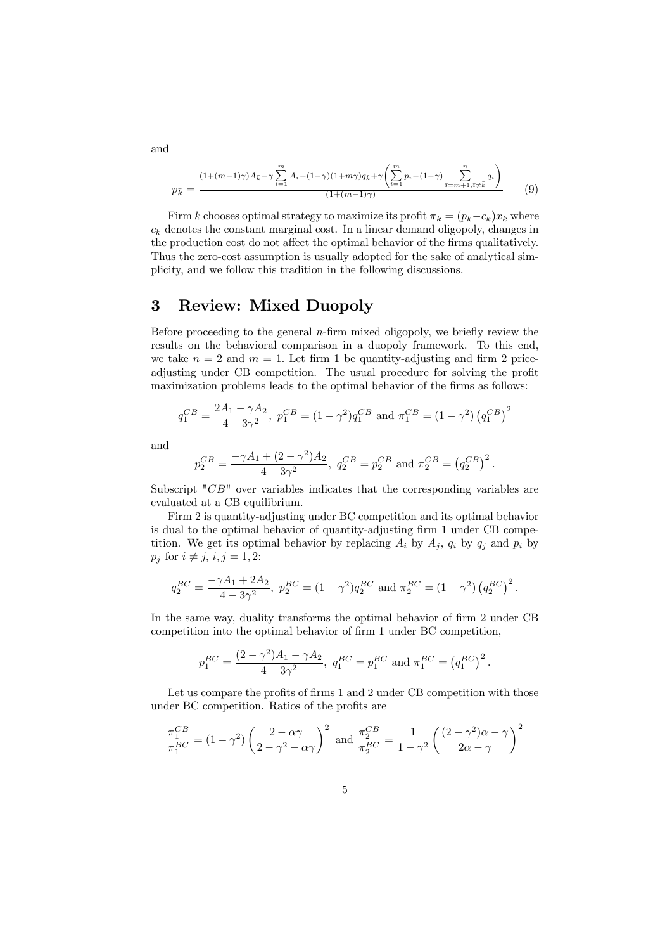$$
p_{\bar{k}} = \frac{(1 + (m-1)\gamma)A_{\bar{k}} - \gamma \sum_{i=1}^{m} A_i - (1 - \gamma)(1 + m\gamma)q_{\bar{k}} + \gamma \left(\sum_{i=1}^{m} p_i - (1 - \gamma) \sum_{\bar{i}=m+1, \bar{i} \neq \bar{k}}^{n} q_{\bar{i}}\right)}{(1 + (m-1)\gamma)}
$$
(9)

Firm k chooses optimal strategy to maximize its profit  $\pi_k = (p_k - c_k)x_k$  where  $c_k$  denotes the constant marginal cost. In a linear demand oligopoly, changes in the production cost do not affect the optimal behavior of the firms qualitatively. Thus the zero-cost assumption is usually adopted for the sake of analytical simplicity, and we follow this tradition in the following discussions.

## 3 Review: Mixed Duopoly

Before proceeding to the general  $n$ -firm mixed oligopoly, we briefly review the results on the behavioral comparison in a duopoly framework. To this end, we take  $n = 2$  and  $m = 1$ . Let firm 1 be quantity-adjusting and firm 2 priceadjusting under CB competition. The usual procedure for solving the profit maximization problems leads to the optimal behavior of the firms as follows:

$$
q_1^{CB} = \frac{2A_1 - \gamma A_2}{4 - 3\gamma^2}
$$
,  $p_1^{CB} = (1 - \gamma^2)q_1^{CB}$  and  $\pi_1^{CB} = (1 - \gamma^2) (q_1^{CB})^2$ 

and

$$
p_2^{CB} = \frac{-\gamma A_1 + (2 - \gamma^2) A_2}{4 - 3\gamma^2}
$$
,  $q_2^{CB} = p_2^{CB}$  and  $\pi_2^{CB} = (q_2^{CB})^2$ .

Subscript " $CB$ " over variables indicates that the corresponding variables are evaluated at a CB equilibrium.

Firm 2 is quantity-adjusting under BC competition and its optimal behavior is dual to the optimal behavior of quantity-adjusting firm 1 under CB competition. We get its optimal behavior by replacing  $A_i$  by  $A_j$ ,  $q_i$  by  $q_j$  and  $p_i$  by  $p_j$  for  $i \neq j$ ,  $i, j = 1, 2$ :

$$
q_2^{BC} = \frac{-\gamma A_1 + 2A_2}{4 - 3\gamma^2}, \ p_2^{BC} = (1 - \gamma^2) q_2^{BC} \text{ and } \pi_2^{BC} = (1 - \gamma^2) (q_2^{BC})^2.
$$

In the same way, duality transforms the optimal behavior of firm 2 under CB competition into the optimal behavior of firm 1 under BC competition,

$$
p_1^{BC} = \frac{(2-\gamma^2)A_1 - \gamma A_2}{4 - 3\gamma^2}
$$
,  $q_1^{BC} = p_1^{BC}$  and  $\pi_1^{BC} = (q_1^{BC})^2$ .

Let us compare the profits of firms 1 and 2 under CB competition with those under BC competition. Ratios of the profits are

$$
\frac{\pi_1^{CB}}{\pi_1^{BC}} = (1 - \gamma^2) \left( \frac{2 - \alpha \gamma}{2 - \gamma^2 - \alpha \gamma} \right)^2 \text{ and } \frac{\pi_2^{CB}}{\pi_2^{BC}} = \frac{1}{1 - \gamma^2} \left( \frac{(2 - \gamma^2)\alpha - \gamma}{2\alpha - \gamma} \right)^2
$$

and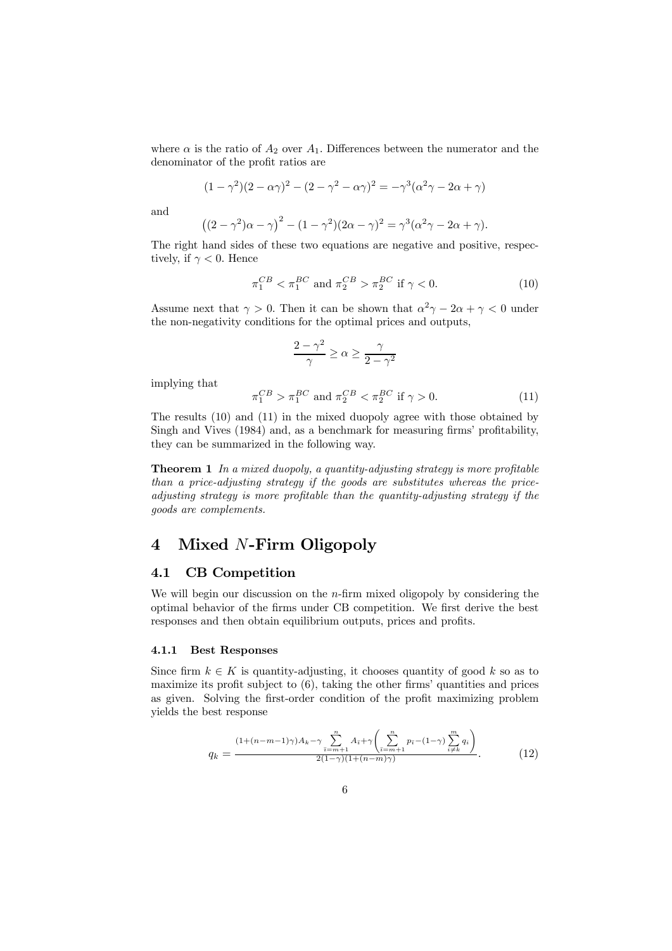where  $\alpha$  is the ratio of  $A_2$  over  $A_1$ . Differences between the numerator and the denominator of the profit ratios are

$$
(1 - \gamma^2)(2 - \alpha \gamma)^2 - (2 - \gamma^2 - \alpha \gamma)^2 = -\gamma^3(\alpha^2 \gamma - 2\alpha + \gamma)
$$

and

$$
((2 - \gamma^2)\alpha - \gamma)^2 - (1 - \gamma^2)(2\alpha - \gamma)^2 = \gamma^3(\alpha^2\gamma - 2\alpha + \gamma).
$$

The right hand sides of these two equations are negative and positive, respectively, if  $\gamma < 0$ . Hence

$$
\pi_1^{CB} < \pi_1^{BC} \text{ and } \pi_2^{CB} > \pi_2^{BC} \text{ if } \gamma < 0. \tag{10}
$$

Assume next that  $\gamma > 0$ . Then it can be shown that  $\alpha^2 \gamma - 2\alpha + \gamma < 0$  under the non-negativity conditions for the optimal prices and outputs,

$$
\frac{2-\gamma^2}{\gamma}\geq\alpha\geq\frac{\gamma}{2-\gamma^2}
$$

implying that

$$
\pi_1^{CB} > \pi_1^{BC} \text{ and } \pi_2^{CB} < \pi_2^{BC} \text{ if } \gamma > 0.
$$
\n
$$
(11)
$$

The results (10) and (11) in the mixed duopoly agree with those obtained by Singh and Vives (1984) and, as a benchmark for measuring firms' profitability, they can be summarized in the following way.

**Theorem 1** In a mixed duopoly, a quantity-adjusting strategy is more profitable than a price-adjusting strategy if the goods are substitutes whereas the priceadjusting strategy is more profitable than the quantity-adjusting strategy if the goods are complements.

# 4 Mixed N-Firm Oligopoly

### 4.1 CB Competition

We will begin our discussion on the  $n$ -firm mixed oligopoly by considering the optimal behavior of the firms under CB competition. We first derive the best responses and then obtain equilibrium outputs, prices and profits.

### 4.1.1 Best Responses

Since firm  $k \in K$  is quantity-adjusting, it chooses quantity of good k so as to maximize its profit subject to  $(6)$ , taking the other firms' quantities and prices as given. Solving the first-order condition of the profit maximizing problem yields the best response

$$
q_k = \frac{(1 + (n - m - 1)\gamma)A_k - \gamma \sum_{\bar{i} = m + 1}^n A_{\bar{i}} + \gamma \left(\sum_{\bar{i} = m + 1}^n p_{\bar{i}} - (1 - \gamma) \sum_{i \neq k}^m q_i\right)}{2(1 - \gamma)(1 + (n - m)\gamma)}.
$$
(12)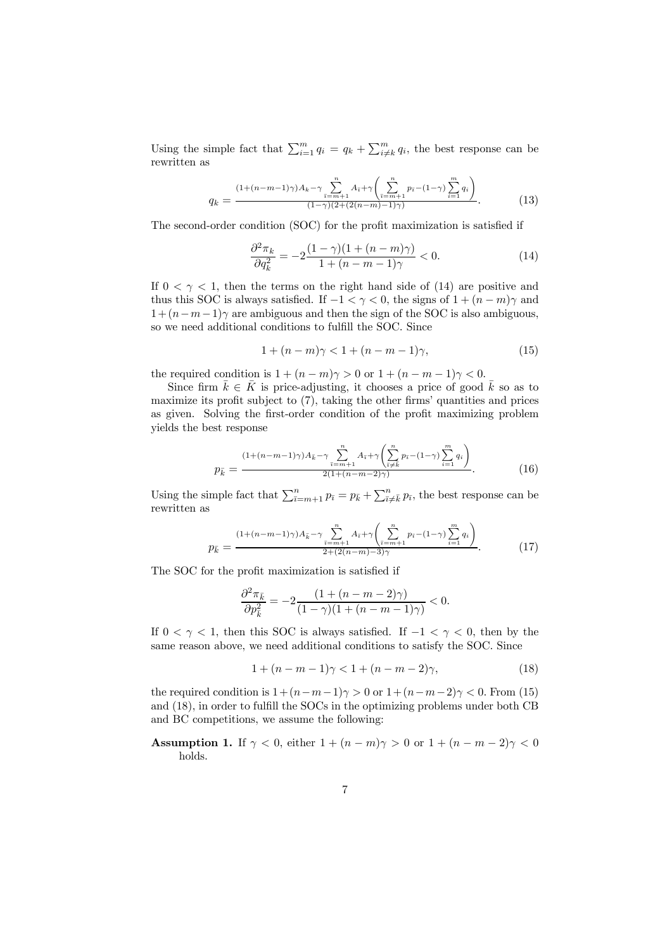Using the simple fact that  $\sum_{i=1}^{m} q_i = q_k + \sum_{i \neq k}^{m} q_i$ , the best response can be rewritten as

$$
q_k = \frac{\frac{(1 + (n - m - 1)\gamma)A_k - \gamma \sum_{\bar{i} = m + 1}^n A_{\bar{i}} + \gamma \left(\sum_{\bar{i} = m + 1}^n p_{\bar{i}} - (1 - \gamma) \sum_{i = 1}^m q_i\right)}{(1 - \gamma)(2 + (2(n - m) - 1)\gamma)}.
$$
(13)

The second-order condition (SOC) for the profit maximization is satisfied if

$$
\frac{\partial^2 \pi_k}{\partial q_k^2} = -2 \frac{(1-\gamma)(1+(n-m)\gamma)}{1+(n-m-1)\gamma} < 0. \tag{14}
$$

If  $0 < \gamma < 1$ , then the terms on the right hand side of (14) are positive and thus this SOC is always satisfied. If  $-1 < \gamma < 0$ , the signs of  $1 + (n - m)\gamma$  and  $1+(n-m-1)\gamma$  are ambiguous and then the sign of the SOC is also ambiguous, so we need additional conditions to fulfill the SOC. Since

$$
1 + (n - m)\gamma < 1 + (n - m - 1)\gamma,\tag{15}
$$

the required condition is  $1+(n-m)\gamma > 0$  or  $1+(n-m-1)\gamma < 0$ .

Since firm  $\bar{k} \in \bar{K}$  is price-adjusting, it chooses a price of good  $\bar{k}$  so as to maximize its profit subject to  $(7)$ , taking the other firms' quantities and prices as given. Solving the first-order condition of the profit maximizing problem yields the best response

$$
p_{\bar{k}} = \frac{(1 + (n - m - 1)\gamma)A_{\bar{k}} - \gamma \sum_{\bar{i} = m + 1}^{n} A_{\bar{i}} + \gamma \left(\sum_{\bar{i} \neq \bar{k}}^{n} p_{\bar{i}} - (1 - \gamma) \sum_{i = 1}^{m} q_i\right)}{2(1 + (n - m - 2)\gamma)}.
$$
(16)

Using the simple fact that  $\sum_{\bar{i}=m+1}^{n} p_{\bar{i}} = p_{\bar{k}} + \sum_{\bar{i}\neq \bar{k}}^{n} p_{\bar{i}}$ , the best response can be rewritten as

$$
p_{\bar{k}} = \frac{(1 + (n - m - 1)\gamma)A_{\bar{k}} - \gamma \sum_{\bar{i} = m + 1}^{n} A_{\bar{i}} + \gamma \left(\sum_{\bar{i} = m + 1}^{n} p_{\bar{i}} - (1 - \gamma) \sum_{i = 1}^{m} q_i\right)}{2 + (2(n - m) - 3)\gamma}.
$$
 (17)

The SOC for the profit maximization is satisfied if

$$
\frac{\partial^2 \pi_{\bar{k}}}{\partial p_{\bar{k}}^2}=-2\frac{(1+(n-m-2)\gamma)}{(1-\gamma)(1+(n-m-1)\gamma)}<0.
$$

If  $0 < \gamma < 1$ , then this SOC is always satisfied. If  $-1 < \gamma < 0$ , then by the same reason above, we need additional conditions to satisfy the SOC. Since

$$
1 + (n - m - 1)\gamma < 1 + (n - m - 2)\gamma,\tag{18}
$$

the required condition is  $1+(n-m-1)\gamma > 0$  or  $1+(n-m-2)\gamma < 0$ . From (15) and (18), in order to fulfill the SOCs in the optimizing problems under both CB and BC competitions, we assume the following:

Assumption 1. If  $\gamma < 0$ , either  $1 + (n - m)\gamma > 0$  or  $1 + (n - m - 2)\gamma < 0$ holds.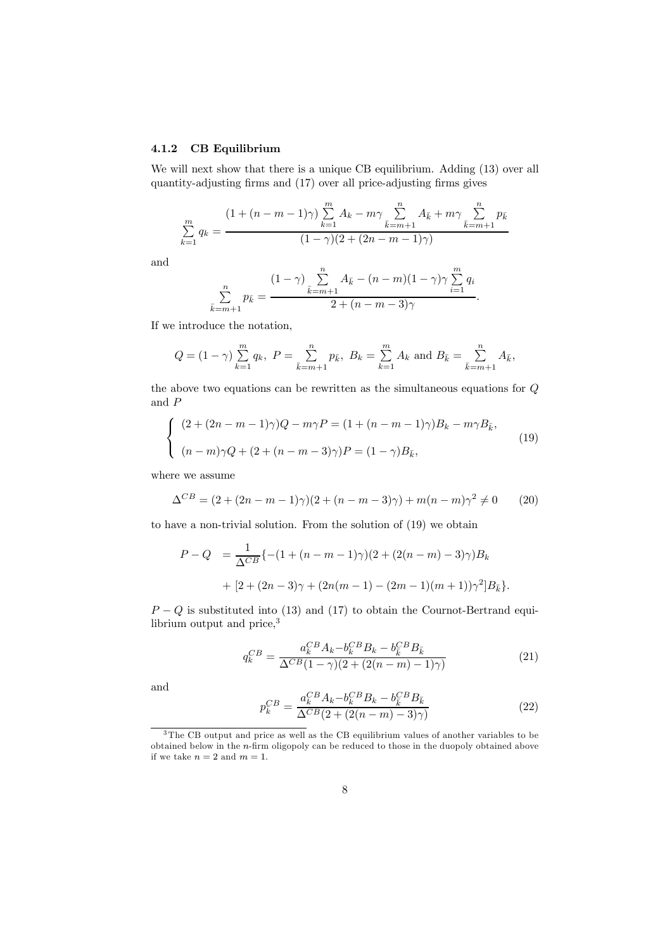### 4.1.2 CB Equilibrium

We will next show that there is a unique CB equilibrium. Adding  $(13)$  over all quantity-adjusting firms and (17) over all price-adjusting firms gives

$$
\sum_{k=1}^{m} q_k = \frac{(1 + (n - m - 1)\gamma) \sum_{k=1}^{m} A_k - m\gamma \sum_{\bar{k}=m+1}^{n} A_{\bar{k}} + m\gamma \sum_{\bar{k}=m+1}^{n} p_{\bar{k}}}{(1 - \gamma)(2 + (2n - m - 1)\gamma)}
$$

and

$$
\sum_{\bar{k}=m+1}^{n} p_{\bar{k}} = \frac{(1-\gamma) \sum_{\bar{k}=m+1}^{n} A_{\bar{k}} - (n-m)(1-\gamma)\gamma \sum_{i=1}^{m} q_i}{2 + (n-m-3)\gamma}.
$$

If we introduce the notation,

$$
Q = (1 - \gamma) \sum_{k=1}^{m} q_k, \ P = \sum_{\bar{k}=m+1}^{n} p_{\bar{k}}, \ B_k = \sum_{k=1}^{m} A_k \text{ and } B_{\bar{k}} = \sum_{\bar{k}=m+1}^{n} A_{\bar{k}},
$$

the above two equations can be rewritten as the simultaneous equations for Q and  $\boldsymbol{P}$ 

$$
\begin{cases} (2 + (2n - m - 1)\gamma)Q - m\gamma P = (1 + (n - m - 1)\gamma)B_k - m\gamma B_{\bar{k}},(n - m)\gamma Q + (2 + (n - m - 3)\gamma)P = (1 - \gamma)B_{\bar{k}},\end{cases}
$$
(19)

where we assume

$$
\Delta^{CB} = (2 + (2n - m - 1)\gamma)(2 + (n - m - 3)\gamma) + m(n - m)\gamma^2 \neq 0
$$
 (20)

to have a non-trivial solution. From the solution of (19) we obtain

$$
P - Q = \frac{1}{\Delta^{CB}} \{ -(1 + (n - m - 1)\gamma)(2 + (2(n - m) - 3)\gamma)B_k
$$
  
+ 
$$
[2 + (2n - 3)\gamma + (2n(m - 1) - (2m - 1)(m + 1))\gamma^2]B_{\bar{k}} \}.
$$

 $P - Q$  is substituted into (13) and (17) to obtain the Cournot-Bertrand equilibrium output and price,  $\real^3$ 

$$
q_k^{CB} = \frac{a_k^{CB} A_k - b_k^{CB} B_k - b_{\bar{k}}^{CB} B_{\bar{k}}}{\Delta^{CB} (1 - \gamma)(2 + (2(n - m) - 1)\gamma)}
$$
(21)

and

$$
p_k^{CB} = \frac{a_k^{CB} A_k - b_k^{CB} B_k - b_k^{CB} B_{\bar{k}}}{\Delta^{CB} (2 + (2(n - m) - 3)\gamma)}
$$
(22)

<sup>&</sup>lt;sup>3</sup>The CB output and price as well as the CB equilibrium values of another variables to be obtained below in the n-firm oligopoly can be reduced to those in the duopoly obtained above if we take  $n = 2$  and  $m = 1$ .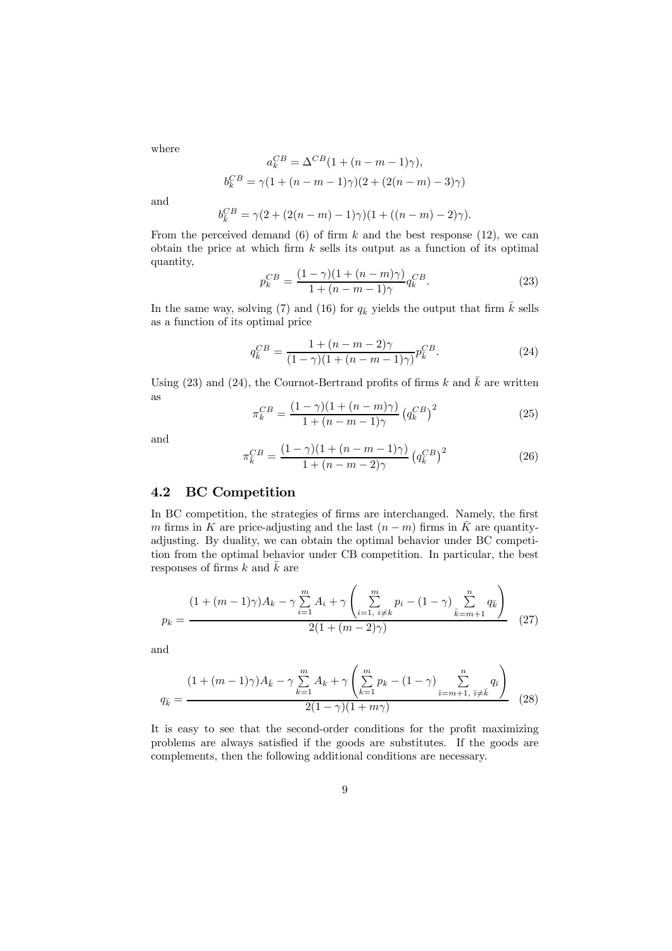where

$$
a_k^{CB} = \Delta^{CB} (1 + (n - m - 1)\gamma),
$$
  

$$
b_k^{CB} = \gamma (1 + (n - m - 1)\gamma)(2 + (2(n - m) - 3)\gamma)
$$

and

$$
b_{\bar{k}}^{CB} = \gamma (2 + (2(n-m) - 1)\gamma)(1 + ((n-m) - 2)\gamma).
$$

From the perceived demand  $(6)$  of firm k and the best response  $(12)$ , we can obtain the price at which firm  $k$  sells its output as a function of its optimal quantity,

$$
p_k^{CB} = \frac{(1 - \gamma)(1 + (n - m)\gamma)}{1 + (n - m - 1)\gamma} q_k^{CB}.
$$
 (23)

In the same way, solving (7) and (16) for  $q_{\bar{k}}$  yields the output that firm  $\bar{k}$  sells as a function of its optimal price

$$
q_k^{CB} = \frac{1 + (n - m - 2)\gamma}{(1 - \gamma)(1 + (n - m - 1)\gamma)} p_k^{CB}.
$$
 (24)

Using (23) and (24), the Cournot-Bertrand profits of firms k and  $\bar{k}$  are written as

$$
\pi_k^{CB} = \frac{(1 - \gamma)(1 + (n - m)\gamma)}{1 + (n - m - 1)\gamma} \left( q_k^{CB} \right)^2 \tag{25}
$$

and

$$
\pi_{\overline{k}}^{CB} = \frac{(1-\gamma)(1+(n-m-1)\gamma)}{1+(n-m-2)\gamma} \left( q_{\overline{k}}^{CB} \right)^2 \tag{26}
$$

### 4.2 BC Competition

In BC competition, the strategies of firms are interchanged. Namely, the first m firms in K are price-adjusting and the last  $(n - m)$  firms in  $\overline{K}$  are quantityadjusting. By duality, we can obtain the optimal behavior under BC competition from the optimal behavior under CB competition. In particular, the best responses of firms  $k$  and  $\bar{k}$  are

$$
p_k = \frac{(1 + (m-1)\gamma)A_k - \gamma \sum_{i=1}^m A_i + \gamma \left(\sum_{i=1, i \neq k}^m p_i - (1-\gamma) \sum_{\bar{k}=m+1}^n q_{\bar{k}}\right)}{2(1 + (m-2)\gamma)}
$$
(27)

and

$$
q_{\bar{k}} = \frac{(1 + (m-1)\gamma)A_{\bar{k}} - \gamma \sum_{k=1}^{m} A_k + \gamma \left(\sum_{k=1}^{m} p_k - (1-\gamma) \sum_{\bar{i}=m+1, \ \bar{i} \neq \bar{k}}^{n} q_{\bar{i}}\right)}{2(1-\gamma)(1+m\gamma)}
$$
(28)

It is easy to see that the second-order conditions for the profit maximizing problems are always satisfied if the goods are substitutes. If the goods are complements, then the following additional conditions are necessary.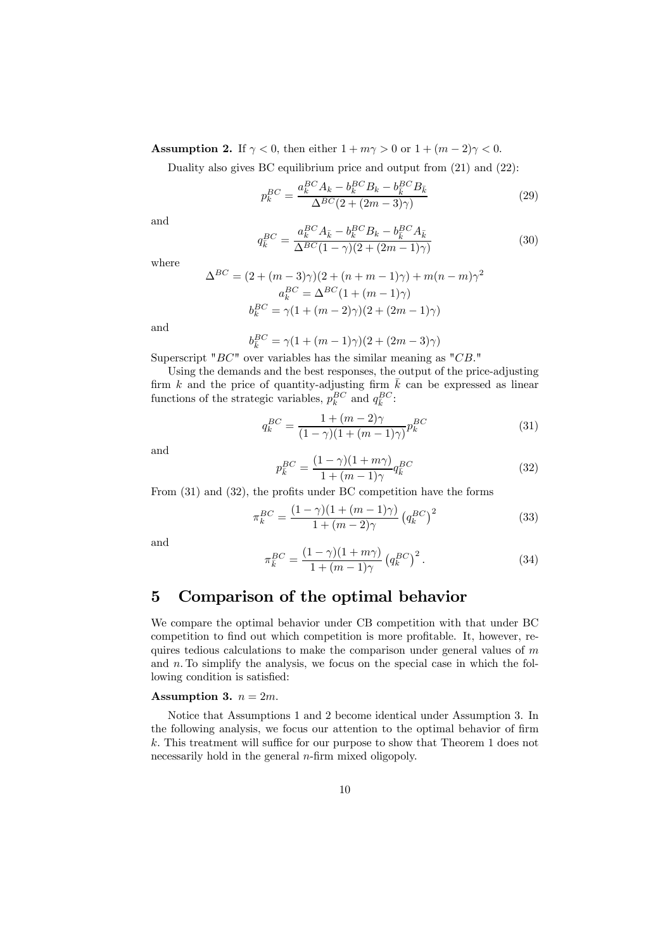Assumption 2. If  $\gamma < 0$ , then either  $1 + m\gamma > 0$  or  $1 + (m - 2)\gamma < 0$ .

Duality also gives BC equilibrium price and output from (21) and (22):

$$
p_k^{BC} = \frac{a_k^{BC} A_k - b_k^{BC} B_k - b_k^{BC} B_{\bar{k}}}{\Delta^{BC} (2 + (2m - 3)\gamma)}
$$
(29)

and

$$
q_k^{BC} = \frac{a_k^{BC} A_{\bar{k}} - b_k^{BC} B_k - b_{\bar{k}}^{BC} A_{\bar{k}}}{\Delta^{BC} (1 - \gamma)(2 + (2m - 1)\gamma)}
$$
(30)

where

$$
\Delta^{BC} = (2 + (m-3)\gamma)(2 + (n+m-1)\gamma) + m(n-m)\gamma^2
$$

$$
a_k^{BC} = \Delta^{BC}(1 + (m-1)\gamma)
$$

$$
b_k^{BC} = \gamma(1 + (m-2)\gamma)(2 + (2m-1)\gamma)
$$

and

$$
b_{\bar{k}}^{BC} = \gamma (1 + (m - 1)\gamma)(2 + (2m - 3)\gamma)
$$

Superscript " $BC$ " over variables has the similar meaning as " $CB$ ."

Using the demands and the best responses, the output of the price-adjusting firm k and the price of quantity-adjusting firm  $\bar{k}$  can be expressed as linear functions of the strategic variables,  $p_k^{BC}$  and  $q_{\overline{k}}^{BC}$ :

$$
q_k^{BC} = \frac{1 + (m-2)\gamma}{(1-\gamma)(1 + (m-1)\gamma)} p_k^{BC}
$$
 (31)

and

$$
p_{\overline{k}}^{BC} = \frac{(1-\gamma)(1+m\gamma)}{1+(m-1)\gamma} q_{\overline{k}}^{BC}
$$
\n(32)

From (31) and (32), the profits under BC competition have the forms

$$
\pi_k^{BC} = \frac{(1 - \gamma)(1 + (m - 1)\gamma)}{1 + (m - 2)\gamma} \left( q_k^{BC} \right)^2 \tag{33}
$$

and

$$
\pi_{\overline{k}}^{BC} = \frac{(1 - \gamma)(1 + m\gamma)}{1 + (m - 1)\gamma} \left( q_{\overline{k}}^{BC} \right)^2.
$$
 (34)

### 5 Comparison of the optimal behavior

We compare the optimal behavior under CB competition with that under BC competition to find out which competition is more profitable. It, however, requires tedious calculations to make the comparison under general values of  $m$ and  $n$ . To simplify the analysis, we focus on the special case in which the following condition is satisfied:

#### Assumption 3.  $n = 2m$ .

Notice that Assumptions 1 and 2 become identical under Assumption 3. In the following analysis, we focus our attention to the optimal behavior of firm k. This treatment will suffice for our purpose to show that Theorem 1 does not necessarily hold in the general *n*-firm mixed oligopoly.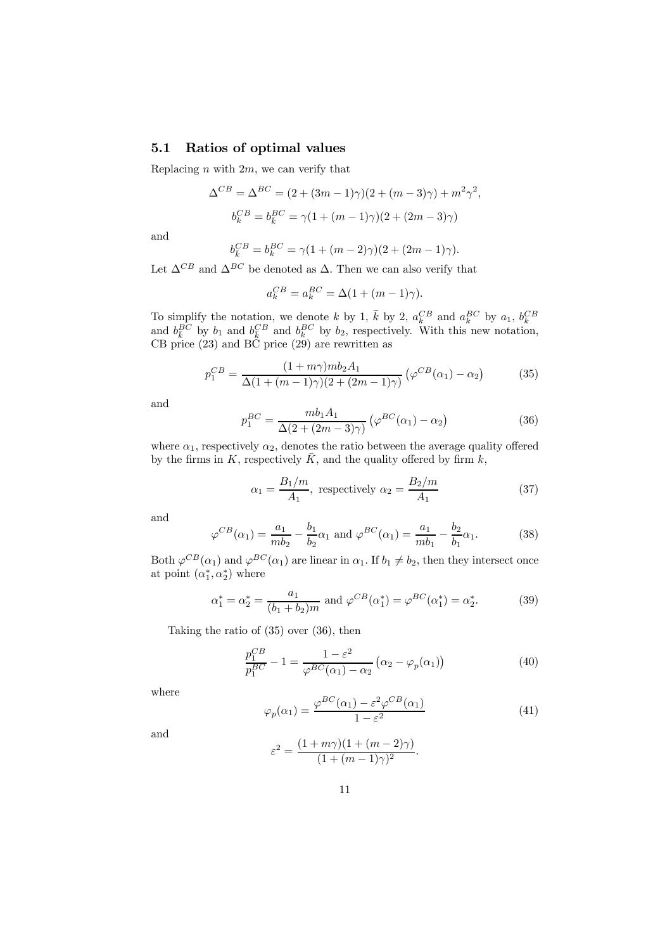### 5.1 Ratios of optimal values

Replacing n with  $2m$ , we can verify that

$$
\Delta^{CB} = \Delta^{BC} = (2 + (3m - 1)\gamma)(2 + (m - 3)\gamma) + m^2 \gamma^2,
$$
  

$$
b_k^{CB} = b_k^{BC} = \gamma (1 + (m - 1)\gamma)(2 + (2m - 3)\gamma)
$$

and

$$
b_{\bar{k}}^{CB} = b_{k}^{BC} = \gamma (1 + (m - 2)\gamma)(2 + (2m - 1)\gamma).
$$

Let  $\Delta^{CB}$  and  $\Delta^{BC}$  be denoted as  $\Delta$ . Then we can also verify that

$$
a_k^{CB} = a_k^{BC} = \Delta(1 + (m-1)\gamma).
$$

To simplify the notation, we denote k by 1,  $\bar{k}$  by 2,  $a_k^{CB}$  and  $a_k^{BC}$  by  $a_1$ ,  $b_k^{CB}$  and  $b_k^{BC}$  by  $b_1$  and  $b_k^{BC}$  and  $b_k^{BC}$  by  $b_2$ , respectively. With this new notation, CB price (23) and BC price (29) are rewritten as

$$
p_1^{CB} = \frac{(1+m\gamma)mb_2A_1}{\Delta(1+(m-1)\gamma)(2+(2m-1)\gamma)} \left(\varphi^{CB}(\alpha_1) - \alpha_2\right)
$$
(35)

and

$$
p_1^{BC} = \frac{mb_1 A_1}{\Delta(2 + (2m - 3)\gamma)} \left(\varphi^{BC}(\alpha_1) - \alpha_2\right)
$$
 (36)

where  $\alpha_1$ , respectively  $\alpha_2$ , denotes the ratio between the average quality offered by the firms in K, respectively  $\overline{K}$ , and the quality offered by firm k,

$$
\alpha_1 = \frac{B_1/m}{A_1}, \text{ respectively } \alpha_2 = \frac{B_2/m}{A_1} \tag{37}
$$

and

$$
\varphi^{CB}(\alpha_1) = \frac{a_1}{mb_2} - \frac{b_1}{b_2} \alpha_1 \text{ and } \varphi^{BC}(\alpha_1) = \frac{a_1}{mb_1} - \frac{b_2}{b_1} \alpha_1. \tag{38}
$$

Both  $\varphi^{CB}(\alpha_1)$  and  $\varphi^{BC}(\alpha_1)$  are linear in  $\alpha_1$ . If  $b_1 \neq b_2$ , then they intersect once at point  $(\alpha_1^*, \alpha_2^*)$  where

$$
\alpha_1^* = \alpha_2^* = \frac{a_1}{(b_1 + b_2)m} \text{ and } \varphi^{CB}(\alpha_1^*) = \varphi^{BC}(\alpha_1^*) = \alpha_2^*.
$$
 (39)

Taking the ratio of (35) over (36), then

$$
\frac{p_1^{CB}}{p_1^{BC}} - 1 = \frac{1 - \varepsilon^2}{\varphi^{BC}(\alpha_1) - \alpha_2} \left( \alpha_2 - \varphi_p(\alpha_1) \right)
$$
(40)

where

$$
\varphi_p(\alpha_1) = \frac{\varphi^{BC}(\alpha_1) - \varepsilon^2 \varphi^{CB}(\alpha_1)}{1 - \varepsilon^2} \tag{41}
$$

and

$$
\varepsilon^{2} = \frac{(1 + m\gamma)(1 + (m - 2)\gamma)}{(1 + (m - 1)\gamma)^{2}}.
$$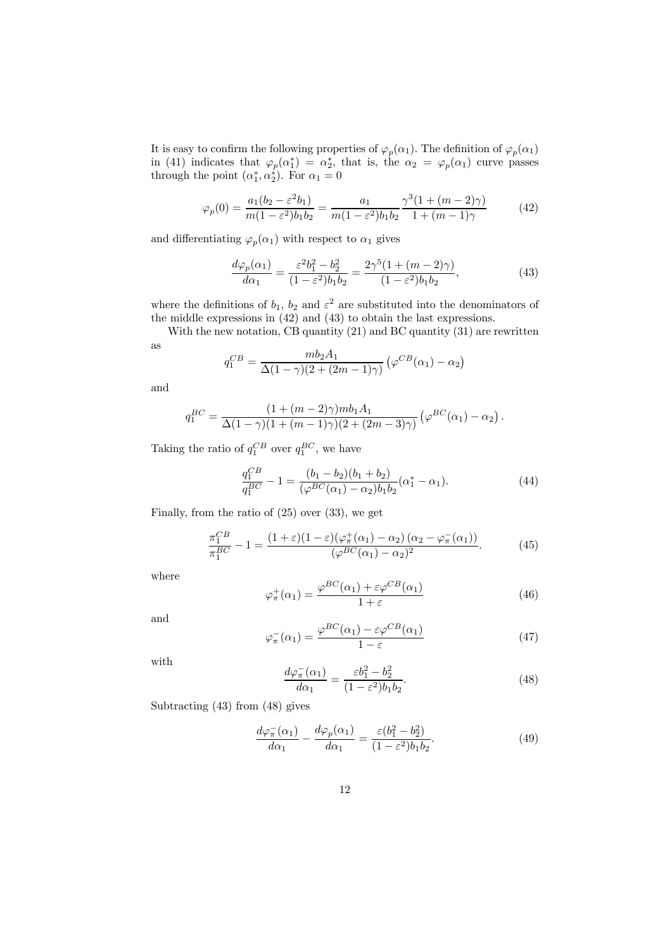It is easy to confirm the following properties of  $\varphi_p(\alpha_1)$ . The definition of  $\varphi_p(\alpha_1)$ in (41) indicates that  $\varphi_p(\alpha_1^*) = \alpha_2^*$ , that is, the  $\alpha_2 = \varphi_p(\alpha_1)$  curve passes through the point  $(\alpha_1^*, \alpha_2^*)$ . For  $\alpha_1 = 0$ 

$$
\varphi_p(0) = \frac{a_1(b_2 - \varepsilon^2 b_1)}{m(1 - \varepsilon^2)b_1b_2} = \frac{a_1}{m(1 - \varepsilon^2)b_1b_2} \frac{\gamma^3(1 + (m - 2)\gamma)}{1 + (m - 1)\gamma}
$$
(42)

and differentiating  $\varphi_p(\alpha_1)$  with respect to  $\alpha_1$  gives

$$
\frac{d\varphi_p(\alpha_1)}{d\alpha_1} = \frac{\varepsilon^2 b_1^2 - b_2^2}{(1 - \varepsilon^2)b_1 b_2} = \frac{2\gamma^5 (1 + (m - 2)\gamma)}{(1 - \varepsilon^2)b_1 b_2},\tag{43}
$$

where the definitions of  $b_1$ ,  $b_2$  and  $\varepsilon^2$  are substituted into the denominators of the middle expressions in (42) and (43) to obtain the last expressions.

With the new notation, CB quantity (21) and BC quantity (31) are rewritten as

$$
q_1^{CB} = \frac{mb_2 A_1}{\Delta(1-\gamma)(2+(2m-1)\gamma)} \left(\varphi^{CB}(\alpha_1) - \alpha_2\right)
$$

and

$$
q_1^{BC} = \frac{(1 + (m-2)\gamma)mb_1A_1}{\Delta(1-\gamma)(1 + (m-1)\gamma)(2 + (2m-3)\gamma)} (\varphi^{BC}(\alpha_1) - \alpha_2).
$$

Taking the ratio of  $q_1^{CB}$  over  $q_1^{BC}$ , we have

$$
\frac{q_1^{CB}}{q_1^{BC}} - 1 = \frac{(b_1 - b_2)(b_1 + b_2)}{(\varphi^{BC}(\alpha_1) - \alpha_2)b_1b_2}(\alpha_1^* - \alpha_1).
$$
\n(44)

Finally, from the ratio of (25) over (33), we get

$$
\frac{\pi_1^{CB}}{\pi_1^{BC}} - 1 = \frac{(1+\varepsilon)(1-\varepsilon)(\varphi_\pi^+(\alpha_1) - \alpha_2)(\alpha_2 - \varphi_\pi^-(\alpha_1))}{(\varphi^{BC}(\alpha_1) - \alpha_2)^2}.
$$
 (45)

where

$$
\varphi_{\pi}^{+}(\alpha_{1}) = \frac{\varphi^{BC}(\alpha_{1}) + \varepsilon \varphi^{CB}(\alpha_{1})}{1 + \varepsilon} \tag{46}
$$

and

$$
\varphi_{\pi}^{-}(\alpha_{1}) = \frac{\varphi^{BC}(\alpha_{1}) - \varepsilon \varphi^{CB}(\alpha_{1})}{1 - \varepsilon} \tag{47}
$$

with

$$
\frac{d\varphi_{\pi}^{-}(\alpha_{1})}{d\alpha_{1}} = \frac{\varepsilon b_{1}^{2} - b_{2}^{2}}{(1 - \varepsilon^{2})b_{1}b_{2}}.\tag{48}
$$

Subtracting (43) from (48) gives

$$
\frac{d\varphi_{\pi}^{-}(\alpha_{1})}{d\alpha_{1}} - \frac{d\varphi_{p}(\alpha_{1})}{d\alpha_{1}} = \frac{\varepsilon(b_{1}^{2} - b_{2}^{2})}{(1 - \varepsilon^{2})b_{1}b_{2}}.
$$
\n(49)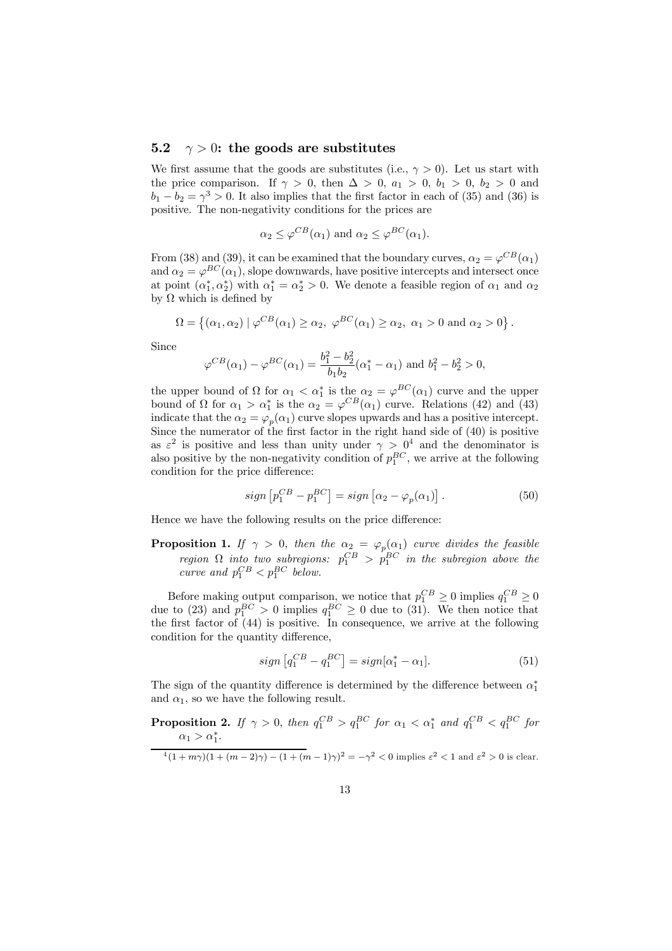### 5.2  $\gamma > 0$ : the goods are substitutes

We first assume that the goods are substitutes (i.e.,  $\gamma > 0$ ). Let us start with the price comparison. If  $\gamma > 0$ , then  $\Delta > 0$ ,  $a_1 > 0$ ,  $b_1 > 0$ ,  $b_2 > 0$  and  $b_1 - b_2 = \gamma^3 > 0$ . It also implies that the first factor in each of (35) and (36) is positive. The non-negativity conditions for the prices are

$$
\alpha_2 \leq \varphi^{CB}(\alpha_1)
$$
 and  $\alpha_2 \leq \varphi^{BC}(\alpha_1)$ .

From (38) and (39), it can be examined that the boundary curves,  $\alpha_2 = \varphi^{CB}(\alpha_1)$ and  $\alpha_2 = \varphi^{BC}(\alpha_1)$ , slope downwards, have positive intercepts and intersect once at point  $(\alpha_1^*, \alpha_2^*)$  with  $\alpha_1^* = \alpha_2^* > 0$ . We denote a feasible region of  $\alpha_1$  and  $\alpha_2$ by  $\Omega$  which is defined by

$$
\Omega = \left\{ (\alpha_1, \alpha_2) \mid \varphi^{CB}(\alpha_1) \ge \alpha_2, \ \varphi^{BC}(\alpha_1) \ge \alpha_2, \ \alpha_1 > 0 \text{ and } \alpha_2 > 0 \right\}.
$$

Since

$$
\varphi^{CB}(\alpha_1) - \varphi^{BC}(\alpha_1) = \frac{b_1^2 - b_2^2}{b_1 b_2} (\alpha_1^* - \alpha_1)
$$
 and  $b_1^2 - b_2^2 > 0$ ,

the upper bound of  $\Omega$  for  $\alpha_1 < \alpha_1^*$  is the  $\alpha_2 = \varphi^{BC}(\alpha_1)$  curve and the upper bound of  $\Omega$  for  $\alpha_1 > \alpha_1^*$  is the  $\alpha_2 = \varphi^{CB}(\alpha_1)$  curve. Relations (42) and (43) indicate that the  $\alpha_2 = \varphi_p(\alpha_1)$  curve slopes upwards and has a positive intercept. Since the numerator of the first factor in the right hand side of (40) is positive as  $\varepsilon^2$  is positive and less than unity under  $\gamma > 0^4$  and the denominator is also positive by the non-negativity condition of  $p_1^{BC}$ , we arrive at the following condition for the price difference:

$$
sign\left[p_1^{CB} - p_1^{BC}\right] = sign\left[\alpha_2 - \varphi_p(\alpha_1)\right].\tag{50}
$$

Hence we have the following results on the price difference:

**Proposition 1.** If  $\gamma > 0$ , then the  $\alpha_2 = \varphi_p(\alpha_1)$  curve divides the feasible region  $\Omega$  into two subregions:  $p_1^{CB} > p_1^{BC}$  in the subregion above the curve and  $p_1^{CB} < p_1^{BC}$  below.

Before making output comparison, we notice that  $p_1^{CB} \ge 0$  implies  $q_1^{CB} \ge 0$ due to (23) and  $p_1^{BC} > 0$  implies  $q_1^{BC} \ge 0$  due to (31). We then notice that the first factor of (44) is positive. In consequence, we arrive at the following condition for the quantity difference,

$$
sign\left[q_1^{CB} - q_1^{BC}\right] = sign[\alpha_1^* - \alpha_1].\tag{51}
$$

The sign of the quantity difference is determined by the difference between  $\alpha_1^*$ and  $\alpha_1$ , so we have the following result.

**Proposition 2.** If  $\gamma > 0$ , then  $q_1^{CB} > q_1^{BC}$  for  $\alpha_1 < \alpha_1^*$  and  $q_1^{CB} < q_1^{BC}$  for  $\alpha_1 > \alpha_1^*$ .

 $\frac{4(1+m\gamma)(1+(m-2)\gamma)-(1+(m-1)\gamma)^2=-\gamma^2<0$  implies  $\varepsilon^2<1$  and  $\varepsilon^2>0$  is clear.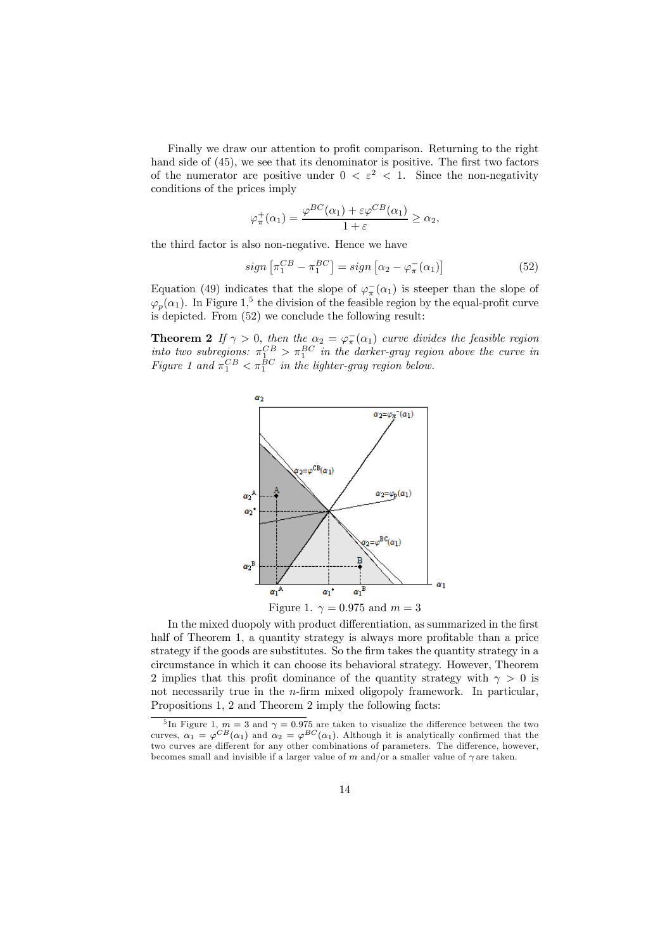Finally we draw our attention to profit comparison. Returning to the right hand side of (45), we see that its denominator is positive. The first two factors of the numerator are positive under  $0 < \varepsilon^2 < 1$ . Since the non-negativity conditions of the prices imply

$$
\varphi_{\pi}^{+}(\alpha_{1}) = \frac{\varphi^{BC}(\alpha_{1}) + \varepsilon \varphi^{CB}(\alpha_{1})}{1 + \varepsilon} \ge \alpha_{2},
$$

the third factor is also non-negative. Hence we have

$$
sign\left[\pi_1^{CB} - \pi_1^{BC}\right] = sign\left[\alpha_2 - \varphi_\pi^-(\alpha_1)\right] \tag{52}
$$

Equation (49) indicates that the slope of  $\varphi_{\pi}^{-}(\alpha_1)$  is steeper than the slope of  $\varphi_p(\alpha_1)$ . In Figure 1,<sup>5</sup> the division of the feasible region by the equal-profit curve is depicted. From (52) we conclude the following result:

**Theorem 2** If  $\gamma > 0$ , then the  $\alpha_2 = \varphi_{\pi}(\alpha_1)$  curve divides the feasible region into two subregions:  $\pi_1^{CB} > \pi_1^{BC}$  in the darker-gray region above the curve in Figure 1 and  $\pi_1^{CB} < \pi_1^{BC}$  in the lighter-gray region below.



In the mixed duopoly with product differentiation, as summarized in the first half of Theorem 1, a quantity strategy is always more profitable than a price strategy if the goods are substitutes. So the firm takes the quantity strategy in a circumstance in which it can choose its behavioral strategy. However, Theorem 2 implies that this profit dominance of the quantity strategy with  $\gamma > 0$  is not necessarily true in the n-firm mixed oligopoly framework. In particular, Propositions 1, 2 and Theorem 2 imply the following facts:

<sup>&</sup>lt;sup>5</sup>In Figure 1,  $m = 3$  and  $\gamma = 0.975$  are taken to visualize the difference between the two curves,  $\alpha_1 = \varphi^{CB}(\alpha_1)$  and  $\alpha_2 = \varphi^{BC}(\alpha_1)$ . Although it is analytically confirmed that the two curves are different for any other combinations of parameters. The difference, however, becomes small and invisible if a larger value of m and/or a smaller value of  $\gamma$  are taken.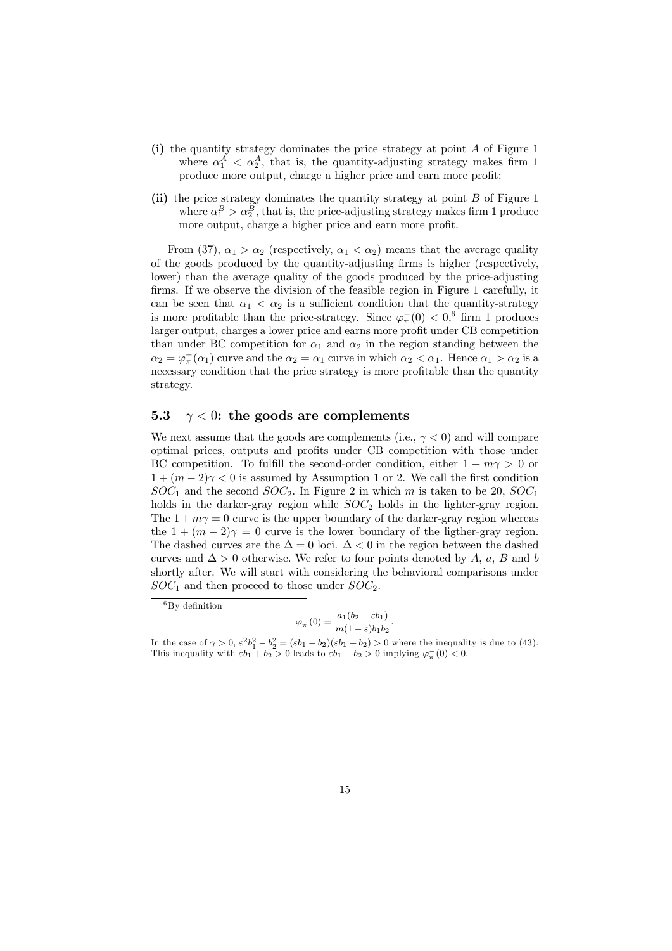- (i) the quantity strategy dominates the price strategy at point A of Figure 1 where  $\alpha_1^A < \alpha_2^A$ , that is, the quantity-adjusting strategy makes firm 1 produce more output, charge a higher price and earn more profit;
- (ii) the price strategy dominates the quantity strategy at point B of Figure 1 where  $\alpha_1^B > \alpha_2^B$ , that is, the price-adjusting strategy makes firm 1 produce more output, charge a higher price and earn more profit.

From (37),  $\alpha_1 > \alpha_2$  (respectively,  $\alpha_1 < \alpha_2$ ) means that the average quality of the goods produced by the quantity-adjusting firms is higher (respectively, lower) than the average quality of the goods produced by the price-adjusting firms. If we observe the division of the feasible region in Figure 1 carefully, it can be seen that  $\alpha_1 < \alpha_2$  is a sufficient condition that the quantity-strategy is more profitable than the price-strategy. Since  $\varphi_{\pi}^{-}(0) < 0$ ,<sup>6</sup> firm 1 produces larger output, charges a lower price and earns more profit under CB competition than under BC competition for  $\alpha_1$  and  $\alpha_2$  in the region standing between the  $\alpha_2 = \varphi_{\pi}^-(\alpha_1)$  curve and the  $\alpha_2 = \alpha_1$  curve in which  $\alpha_2 < \alpha_1$ . Hence  $\alpha_1 > \alpha_2$  is a necessary condition that the price strategy is more profitable than the quantity strategy.

### 5.3  $\gamma$  < 0: the goods are complements

We next assume that the goods are complements (i.e.,  $\gamma < 0$ ) and will compare optimal prices, outputs and profits under CB competition with those under BC competition. To fulfill the second-order condition, either  $1 + m\gamma > 0$  or  $1+(m-2)\gamma < 0$  is assumed by Assumption 1 or 2. We call the first condition  $SOC_1$  and the second  $SOC_2$ . In Figure 2 in which m is taken to be 20,  $SOC_1$ holds in the darker-gray region while  $SOC<sub>2</sub>$  holds in the lighter-gray region. The  $1 + m\gamma = 0$  curve is the upper boundary of the darker-gray region whereas the  $1+(m-2)\gamma=0$  curve is the lower boundary of the ligther-gray region. The dashed curves are the  $\Delta = 0$  loci.  $\Delta < 0$  in the region between the dashed curves and  $\Delta > 0$  otherwise. We refer to four points denoted by A, a, B and b shortly after. We will start with considering the behavioral comparisons under  $SOC<sub>1</sub>$  and then proceed to those under  $SOC<sub>2</sub>$ .

$$
\varphi_{\pi}^{-}(0) = \frac{a_1(b_2 - \varepsilon b_1)}{m(1 - \varepsilon)b_1b_2}.
$$

 ${}^{6}$ By definition

In the case of  $\gamma > 0$ ,  $\varepsilon^2 b_1^2 - b_2^2 = (\varepsilon b_1 - b_2)(\varepsilon b_1 + b_2) > 0$  where the inequality is due to (43). This inequality with  $\varepsilon b_1 + b_2 > 0$  leads to  $\varepsilon b_1 - b_2 > 0$  implying  $\varphi_{\pi}(0) < 0$ .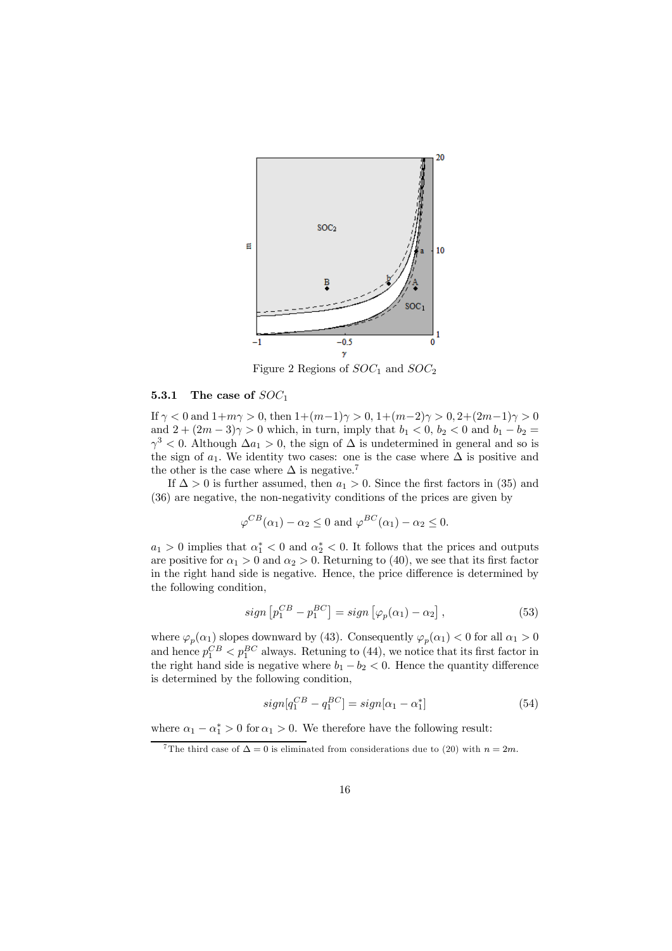

Figure 2 Regions of  $SOC<sub>1</sub>$  and  $SOC<sub>2</sub>$ 

### 5.3.1 The case of  $SOC<sub>1</sub>$

If  $\gamma < 0$  and  $1+m\gamma > 0$ , then  $1+(m-1)\gamma > 0$ ,  $1+(m-2)\gamma > 0$ ,  $2+(2m-1)\gamma > 0$ and  $2 + (2m - 3)\gamma > 0$  which, in turn, imply that  $b_1 < 0$ ,  $b_2 < 0$  and  $b_1 - b_2 =$  $\gamma^3$  < 0. Although  $\Delta a_1 > 0$ , the sign of  $\Delta$  is undetermined in general and so is the sign of  $a_1$ . We identity two cases: one is the case where  $\Delta$  is positive and the other is the case where  $\Delta$  is negative.<sup>7</sup>

If  $\Delta > 0$  is further assumed, then  $a_1 > 0$ . Since the first factors in (35) and (36) are negative, the non-negativity conditions of the prices are given by

$$
\varphi^{CB}(\alpha_1) - \alpha_2 \le 0
$$
 and  $\varphi^{BC}(\alpha_1) - \alpha_2 \le 0$ .

 $a_1 > 0$  implies that  $\alpha_1^* < 0$  and  $\alpha_2^* < 0$ . It follows that the prices and outputs are positive for  $\alpha_1 > 0$  and  $\alpha_2 > 0$ . Returning to (40), we see that its first factor in the right hand side is negative. Hence, the price difference is determined by the following condition,

$$
sign\left[p_1^{CB} - p_1^{BC}\right] = sign\left[\varphi_p(\alpha_1) - \alpha_2\right],\tag{53}
$$

where  $\varphi_p(\alpha_1)$  slopes downward by (43). Consequently  $\varphi_p(\alpha_1) < 0$  for all  $\alpha_1 > 0$ and hence  $p_1^{CB} < p_1^{BC}$  always. Retuning to (44), we notice that its first factor in the right hand side is negative where  $b_1 - b_2 < 0$ . Hence the quantity difference is determined by the following condition,

$$
sign[q_1^{CB} - q_1^{BC}] = sign[\alpha_1 - \alpha_1^*]
$$
\n(54)

where  $\alpha_1 - \alpha_1^* > 0$  for  $\alpha_1 > 0$ . We therefore have the following result:

<sup>&</sup>lt;sup>7</sup>The third case of  $\Delta = 0$  is eliminated from considerations due to (20) with  $n = 2m$ .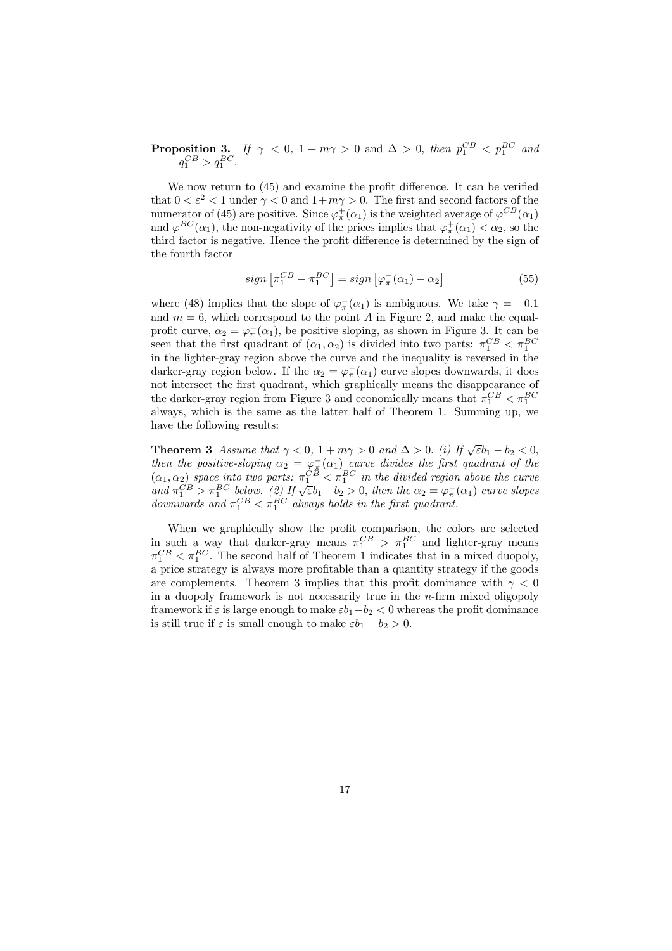**Proposition 3.** If  $\gamma < 0$ ,  $1 + m\gamma > 0$  and  $\Delta > 0$ , then  $p_1^{CB} < p_1^{BC}$  and  $q_1^{CB} > q_1^{BC}$ .

We now return to (45) and examine the profit difference. It can be verified that  $0 < \varepsilon^2 < 1$  under  $\gamma < 0$  and  $1 + m\gamma > 0$ . The first and second factors of the numerator of (45) are positive. Since  $\varphi_{\pi}^{+}(\alpha_1)$  is the weighted average of  $\varphi^{CB}(\alpha_1)$ and  $\varphi^{BC}(\alpha_1)$ , the non-negativity of the prices implies that  $\varphi^+_{\pi}(\alpha_1) < \alpha_2$ , so the third factor is negative. Hence the profit difference is determined by the sign of the fourth factor

$$
sign\left[\pi_1^{CB} - \pi_1^{BC}\right] = sign\left[\varphi_\pi^-(\alpha_1) - \alpha_2\right]
$$
\n(55)

where (48) implies that the slope of  $\varphi_{\pi}^{-}(\alpha_1)$  is ambiguous. We take  $\gamma = -0.1$ and  $m = 6$ , which correspond to the point A in Figure 2, and make the equalprofit curve,  $\alpha_2 = \varphi_{\pi}(\alpha_1)$ , be positive sloping, as shown in Figure 3. It can be seen that the first quadrant of  $(\alpha_1, \alpha_2)$  is divided into two parts:  $\pi_1^{CB} < \pi_1^{BC}$ in the lighter-gray region above the curve and the inequality is reversed in the darker-gray region below. If the  $\alpha_2 = \varphi_{\pi}^{-}(\alpha_1)$  curve slopes downwards, it does not intersect the first quadrant, which graphically means the disappearance of the darker-gray region from Figure 3 and economically means that  $\pi_1^{CB} < \pi_1^{BC}$ always, which is the same as the latter half of Theorem 1. Summing up, we have the following results:

**Theorem 3** Assume that  $\gamma < 0$ ,  $1 + m\gamma > 0$  and  $\Delta > 0$ . (i) If  $\sqrt{\varepsilon}b_1 - b_2 < 0$ , then the positive-sloping  $\alpha_2 = \varphi_{\overline{x}}(\alpha_1)$  curve divides the first quadrant of the  $(\alpha_1, \alpha_2)$  space into two parts:  $\pi_1^{CB} < \pi_1^{BC}$  in the divided region above the curve and  $\pi_1^{CB} > \pi_1^{BC}$  below. (2) If  $\sqrt{\varepsilon b_1 - b_2} > 0$ , then the  $\alpha_2 = \varphi_\pi^-(\alpha_1)$  curve slopes downwards and  $\pi_1^{CB} < \pi_1^{BC}$  always holds in the first quadrant.

When we graphically show the profit comparison, the colors are selected in such a way that darker-gray means  $\pi_1^{CB} > \pi_1^{BC}$  and lighter-gray means  $\pi_1^{CB} < \pi_1^{BC}$ . The second half of Theorem 1 indicates that in a mixed duopoly, a price strategy is always more profitable than a quantity strategy if the goods are complements. Theorem 3 implies that this profit dominance with  $\gamma < 0$ in a duopoly framework is not necessarily true in the  $n$ -firm mixed oligopoly framework if  $\varepsilon$  is large enough to make  $\varepsilon b_1-b_2 < 0$  whereas the profit dominance is still true if  $\varepsilon$  is small enough to make  $\varepsilon b_1 - b_2 > 0$ .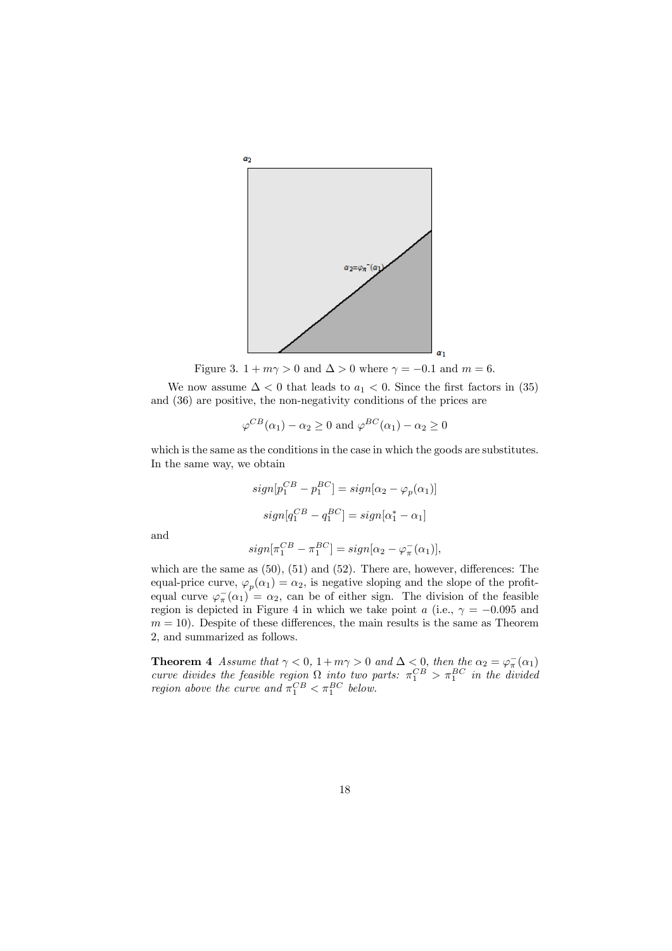

Figure 3.  $1 + m\gamma > 0$  and  $\Delta > 0$  where  $\gamma = -0.1$  and  $m = 6$ .

We now assume  $\Delta < 0$  that leads to  $a_1 < 0$ . Since the first factors in (35) and (36) are positive, the non-negativity conditions of the prices are

$$
\varphi^{CB}(\alpha_1) - \alpha_2 \ge 0
$$
 and  $\varphi^{BC}(\alpha_1) - \alpha_2 \ge 0$ 

which is the same as the conditions in the case in which the goods are substitutes. In the same way, we obtain

$$
sign[p_1^{CB} - p_1^{BC}] = sign[\alpha_2 - \varphi_p(\alpha_1)]
$$
  

$$
sign[q_1^{CB} - q_1^{BC}] = sign[\alpha_1^* - \alpha_1]
$$

and

$$
sign[\pi_1^{CB} - \pi_1^{BC}] = sign[\alpha_2 - \varphi_{\pi}^{-}(\alpha_1)],
$$

which are the same as  $(50)$ ,  $(51)$  and  $(52)$ . There are, however, differences: The equal-price curve,  $\varphi_p(\alpha_1) = \alpha_2$ , is negative sloping and the slope of the profitequal curve  $\varphi_{\pi}^{-}(\alpha_1) = \alpha_2$ , can be of either sign. The division of the feasible region is depicted in Figure 4 in which we take point a (i.e.,  $\gamma = -0.095$  and  $m = 10$ . Despite of these differences, the main results is the same as Theorem 2, and summarized as follows.

**Theorem 4** Assume that  $\gamma < 0$ ,  $1 + m\gamma > 0$  and  $\Delta < 0$ , then the  $\alpha_2 = \varphi_{\pi}^{-}(\alpha_1)$ curve divides the feasible region  $\Omega$  into two parts:  $\pi_1^{CB} > \pi_1^{BC}$  in the divided *region above the curve and*  $\pi_1^{CB} < \pi_1^{BC}$  below.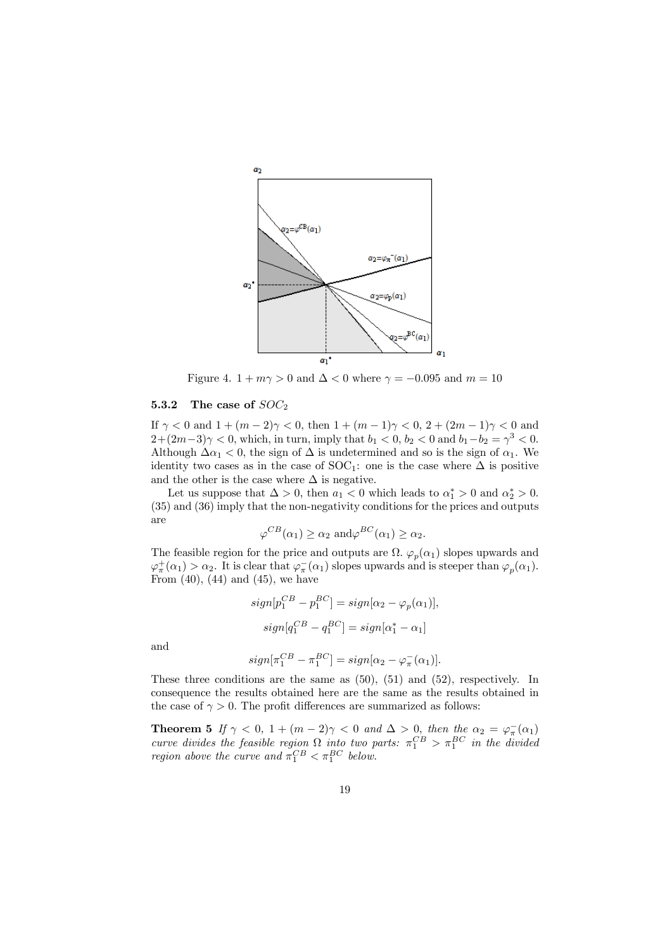

Figure 4.  $1 + m\gamma > 0$  and  $\Delta < 0$  where  $\gamma = -0.095$  and  $m = 10$ 

#### 5.3.2 The case of  $SOC<sub>2</sub>$

If  $\gamma < 0$  and  $1 + (m - 2)\gamma < 0$ , then  $1 + (m - 1)\gamma < 0$ ,  $2 + (2m - 1)\gamma < 0$  and  $2+(2m-3)\gamma < 0$ , which, in turn, imply that  $b_1 < 0$ ,  $b_2 < 0$  and  $b_1-b_2 = \gamma^3 < 0$ . Although  $\Delta \alpha_1 < 0$ , the sign of  $\Delta$  is undetermined and so is the sign of  $\alpha_1$ . We identity two cases as in the case of SOC<sub>1</sub>: one is the case where  $\Delta$  is positive and the other is the case where  $\Delta$  is negative.

Let us suppose that  $\Delta > 0$ , then  $a_1 < 0$  which leads to  $\alpha_1^* > 0$  and  $\alpha_2^* > 0$ . (35) and (36) imply that the non-negativity conditions for the prices and outputs are

$$
\varphi^{CB}(\alpha_1) \ge \alpha_2 \text{ and } \varphi^{BC}(\alpha_1) \ge \alpha_2.
$$

The feasible region for the price and outputs are  $\Omega$ .  $\varphi_p(\alpha_1)$  slopes upwards and  $\varphi_{\pi}^{+}(\alpha_{1}) > \alpha_{2}$ . It is clear that  $\varphi_{\pi}^{-}(\alpha_{1})$  slopes upwards and is steeper than  $\varphi_{p}(\alpha_{1})$ . From  $(40)$ ,  $(44)$  and  $(45)$ , we have

$$
sign[p_1^{CB} - p_1^{BC}] = sign[\alpha_2 - \varphi_p(\alpha_1)],
$$
  

$$
sign[q_1^{CB} - q_1^{BC}] = sign[\alpha_1^* - \alpha_1]
$$

and

$$
sign[\pi_1^{CB} - \pi_1^{BC}] = sign[\alpha_2 - \varphi_{\pi}^{-}(\alpha_1)].
$$

These three conditions are the same as (50), (51) and (52), respectively. In consequence the results obtained here are the same as the results obtained in the case of  $\gamma > 0$ . The profit differences are summarized as follows:

**Theorem 5** If  $\gamma < 0$ ,  $1 + (m - 2)\gamma < 0$  and  $\Delta > 0$ , then the  $\alpha_2 = \varphi_{\pi}(\alpha_1)$ curve divides the feasible region  $\Omega$  into two parts:  $\pi_1^{CB} > \pi_1^{BC}$  in the divided *region above the curve and*  $\pi_1^{CB} < \pi_1^{BC}$  below.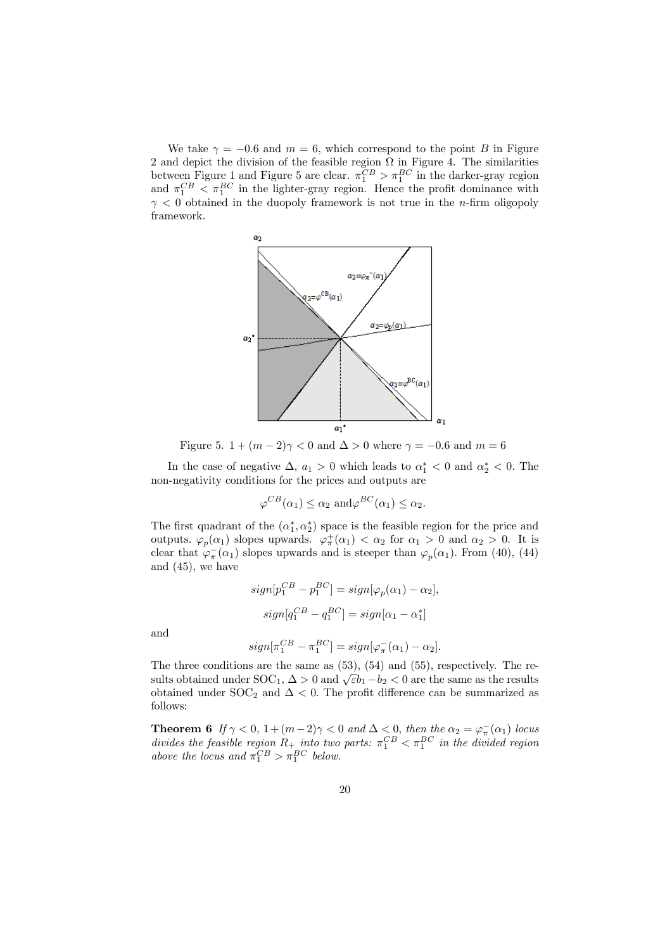We take  $\gamma = -0.6$  and  $m = 6$ , which correspond to the point B in Figure 2 and depict the division of the feasible region  $\Omega$  in Figure 4. The similarities between Figure 1 and Figure 5 are clear.  $\pi_1^{CB} > \pi_1^{BC}$  in the darker-gray region and  $\pi_1^{CB} < \pi_1^{BC}$  in the lighter-gray region. Hence the profit dominance with  $\gamma$  < 0 obtained in the duopoly framework is not true in the *n*-firm oligopoly framework.



Figure 5.  $1 + (m - 2)\gamma < 0$  and  $\Delta > 0$  where  $\gamma = -0.6$  and  $m = 6$ 

In the case of negative  $\Delta$ ,  $a_1 > 0$  which leads to  $\alpha_1^* < 0$  and  $\alpha_2^* < 0$ . The non-negativity conditions for the prices and outputs are

$$
\varphi^{CB}(\alpha_1) \leq \alpha_2 \text{ and } \varphi^{BC}(\alpha_1) \leq \alpha_2.
$$

The first quadrant of the  $(\alpha_1^*, \alpha_2^*)$  space is the feasible region for the price and outputs.  $\varphi_p(\alpha_1)$  slopes upwards.  $\varphi^+_\pi(\alpha_1) < \alpha_2$  for  $\alpha_1 > 0$  and  $\alpha_2 > 0$ . It is clear that  $\varphi_{\pi}^{-}(\alpha_1)$  slopes upwards and is steeper than  $\varphi_p(\alpha_1)$ . From (40), (44) and (45), we have

$$
sign[p_1^{CB} - p_1^{BC}] = sign[\varphi_p(\alpha_1) - \alpha_2],
$$
  

$$
sign[q_1^{CB} - q_1^{BC}] = sign[\alpha_1 - \alpha_1^*]
$$

and

$$
sign[\pi_1^{CB} - \pi_1^{BC}] = sign[\varphi_{\pi}^{-}(\alpha_1) - \alpha_2].
$$

The three conditions are the same as (53), (54) and (55), respectively. The results obtained under SOC<sub>1</sub>,  $\Delta > 0$  and  $\sqrt{\varepsilon}b_1 - b_2 < 0$  are the same as the results obtained under SOC<sub>2</sub> and  $\Delta$  < 0. The profit difference can be summarized as follows:

**Theorem 6** If  $\gamma < 0$ ,  $1 + (m-2)\gamma < 0$  and  $\Delta < 0$ , then the  $\alpha_2 = \varphi_{\pi}^{-}(\alpha_1)$  locus divides the feasible region  $R_+$  into two parts:  $\pi_1^{CB} < \pi_1^{BC}$  in the divided region above the locus and  $\pi_1^{CB} > \pi_1^{BC}$  below.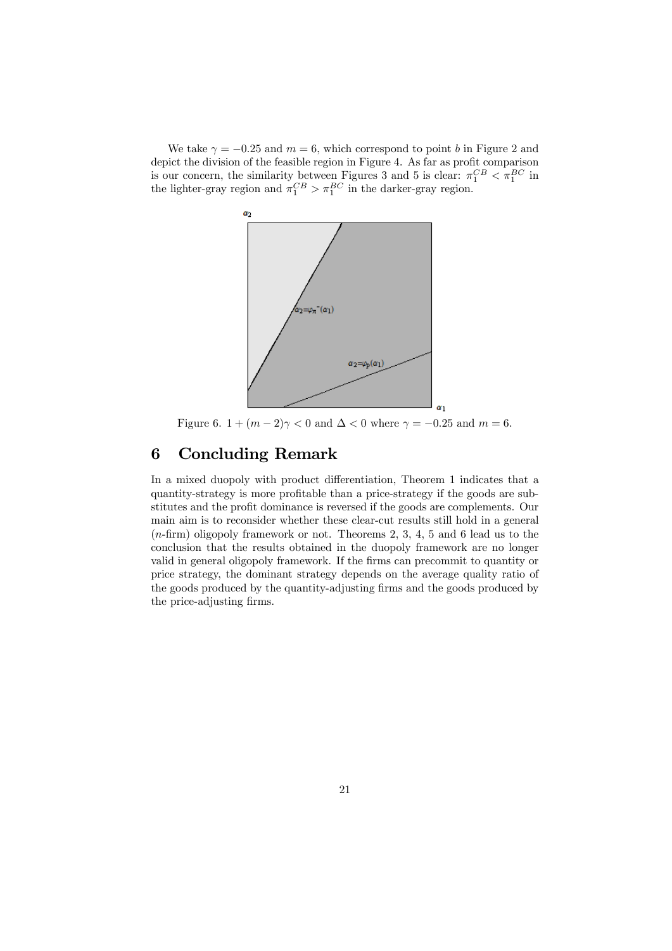We take  $\gamma = -0.25$  and  $m = 6$ , which correspond to point b in Figure 2 and depict the division of the feasible region in Figure 4. As far as profit comparison is our concern, the similarity between Figures 3 and 5 is clear:  $\pi_1^{CB} < \pi_1^{BC}$  in the lighter-gray region and  $\pi_1^{CB} > \pi_1^{BC}$  in the darker-gray region.



Figure 6.  $1+(m-2)\gamma < 0$  and  $\Delta < 0$  where  $\gamma = -0.25$  and  $m = 6$ .

# 6 Concluding Remark

In a mixed duopoly with product differentiation, Theorem 1 indicates that a quantity-strategy is more profitable than a price-strategy if the goods are substitutes and the profit dominance is reversed if the goods are complements. Our main aim is to reconsider whether these clear-cut results still hold in a general (n-firm) oligopoly framework or not. Theorems 2, 3, 4, 5 and 6 lead us to the conclusion that the results obtained in the duopoly framework are no longer valid in general oligopoly framework. If the firms can precommit to quantity or price strategy, the dominant strategy depends on the average quality ratio of the goods produced by the quantity-adjusting firms and the goods produced by the price-adjusting firms.